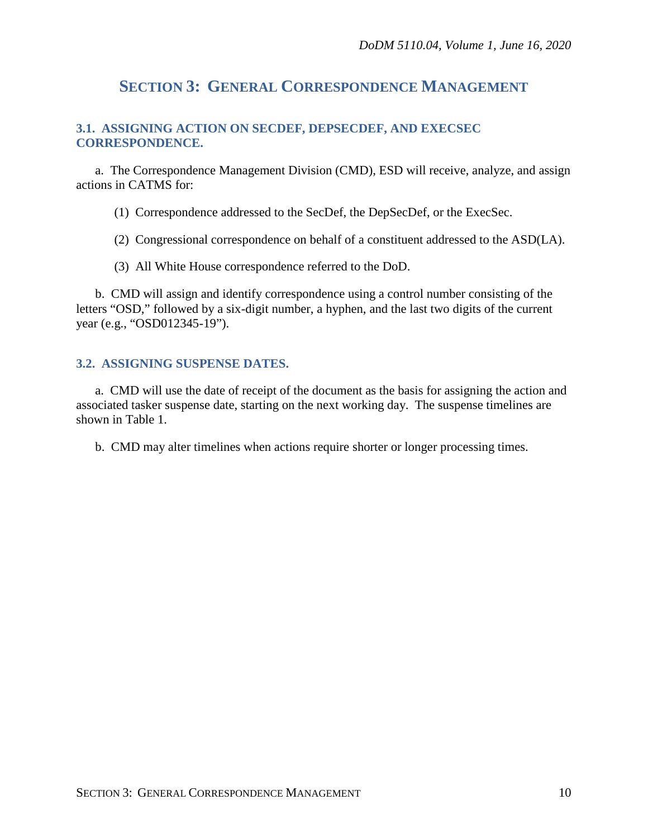# **SECTION 3: GENERAL CORRESPONDENCE MANAGEMENT**

## **3.1. ASSIGNING ACTION ON SECDEF, DEPSECDEF, AND EXECSEC CORRESPONDENCE.**

a. The Correspondence Management Division (CMD), ESD will receive, analyze, and assign actions in CATMS for:

(1) Correspondence addressed to the SecDef, the DepSecDef, or the ExecSec.

(2) Congressional correspondence on behalf of a constituent addressed to the ASD(LA).

(3) All White House correspondence referred to the DoD.

b. CMD will assign and identify correspondence using a control number consisting of the letters "OSD," followed by a six-digit number, a hyphen, and the last two digits of the current year (e.g., "OSD012345-19").

## **3.2. ASSIGNING SUSPENSE DATES.**

a. CMD will use the date of receipt of the document as the basis for assigning the action and associated tasker suspense date, starting on the next working day. The suspense timelines are shown in Table 1.

b. CMD may alter timelines when actions require shorter or longer processing times.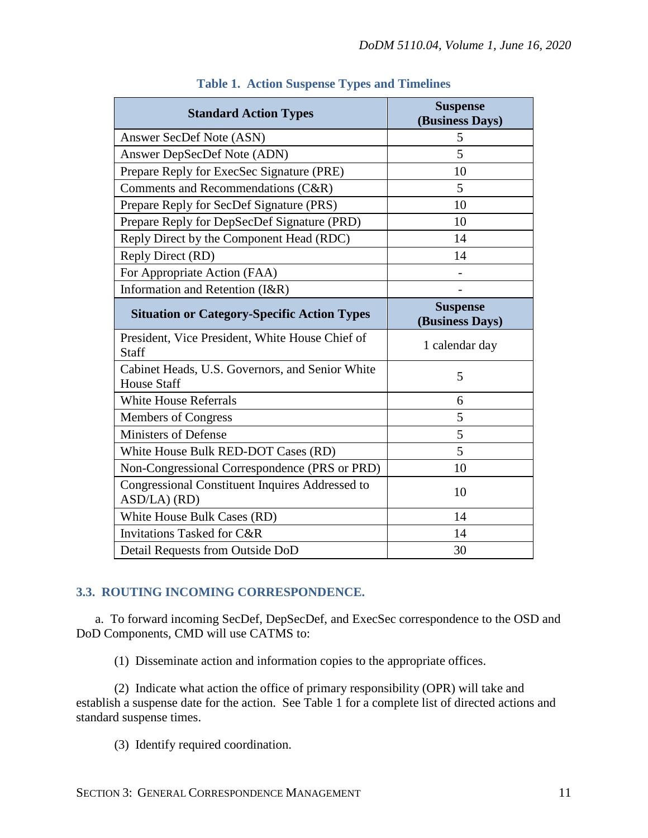| <b>Standard Action Types</b>                                          | <b>Suspense</b><br>(Business Days) |
|-----------------------------------------------------------------------|------------------------------------|
| Answer SecDef Note (ASN)                                              | 5                                  |
| Answer DepSecDef Note (ADN)                                           | 5                                  |
| Prepare Reply for ExecSec Signature (PRE)                             | 10                                 |
| Comments and Recommendations (C&R)                                    | 5                                  |
| Prepare Reply for SecDef Signature (PRS)                              | 10                                 |
| Prepare Reply for DepSecDef Signature (PRD)                           | 10                                 |
| Reply Direct by the Component Head (RDC)                              | 14                                 |
| Reply Direct (RD)                                                     | 14                                 |
| For Appropriate Action (FAA)                                          |                                    |
| Information and Retention (I&R)                                       |                                    |
| <b>Situation or Category-Specific Action Types</b>                    | <b>Suspense</b><br>(Business Days) |
| President, Vice President, White House Chief of<br><b>Staff</b>       | 1 calendar day                     |
| Cabinet Heads, U.S. Governors, and Senior White<br><b>House Staff</b> | 5                                  |
| <b>White House Referrals</b>                                          | 6                                  |
| Members of Congress                                                   | 5                                  |
| <b>Ministers of Defense</b>                                           | 5                                  |
| White House Bulk RED-DOT Cases (RD)                                   | 5                                  |
| Non-Congressional Correspondence (PRS or PRD)                         | 10                                 |
| Congressional Constituent Inquires Addressed to<br>$ASD/LA)$ (RD)     | 10                                 |
| White House Bulk Cases (RD)                                           | 14                                 |
| <b>Invitations Tasked for C&amp;R</b>                                 | 14                                 |
| Detail Requests from Outside DoD                                      | 30                                 |

## **Table 1. Action Suspense Types and Timelines**

## **3.3. ROUTING INCOMING CORRESPONDENCE.**

a. To forward incoming SecDef, DepSecDef, and ExecSec correspondence to the OSD and DoD Components, CMD will use CATMS to:

(1) Disseminate action and information copies to the appropriate offices.

(2) Indicate what action the office of primary responsibility (OPR) will take and establish a suspense date for the action. See Table 1 for a complete list of directed actions and standard suspense times.

(3) Identify required coordination.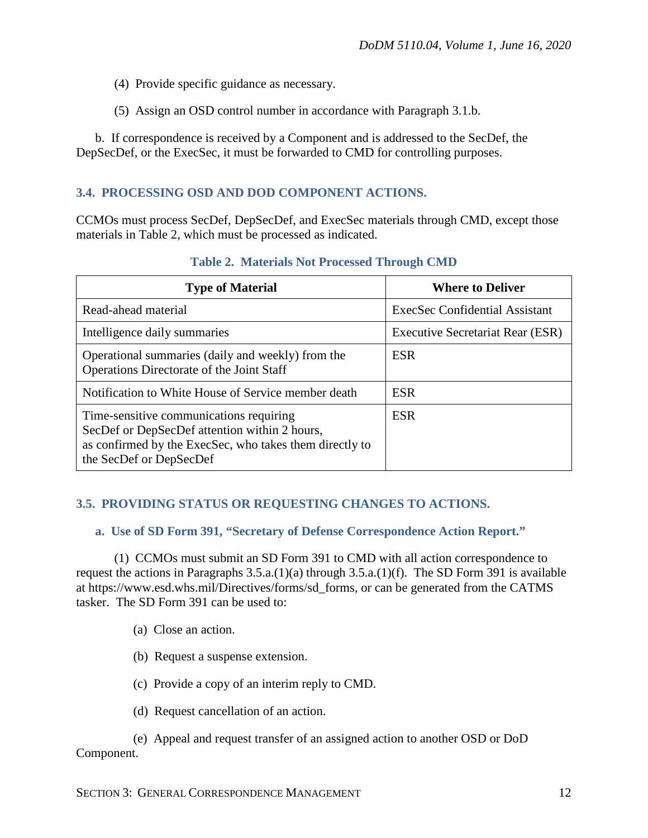- (4) Provide specific guidance as necessary.
- (5) Assign an OSD control number in accordance with Paragraph 3.1.b.

b. If correspondence is received by a Component and is addressed to the SecDef, the DepSecDef, or the ExecSec, it must be forwarded to CMD for controlling purposes.

## **3.4. PROCESSING OSD AND DOD COMPONENT ACTIONS.**

CCMOs must process SecDef, DepSecDef, and ExecSec materials through CMD, except those materials in Table 2, which must be processed as indicated.

| <b>Type of Material</b>                                                                                                                                                        | <b>Where to Deliver</b>               |
|--------------------------------------------------------------------------------------------------------------------------------------------------------------------------------|---------------------------------------|
| Read-ahead material                                                                                                                                                            | <b>ExecSec Confidential Assistant</b> |
| Intelligence daily summaries                                                                                                                                                   | Executive Secretariat Rear (ESR)      |
| Operational summaries (daily and weekly) from the<br>Operations Directorate of the Joint Staff                                                                                 | <b>ESR</b>                            |
| Notification to White House of Service member death                                                                                                                            | <b>ESR</b>                            |
| Time-sensitive communications requiring<br>SecDef or DepSecDef attention within 2 hours,<br>as confirmed by the ExecSec, who takes them directly to<br>the SecDef or DepSecDef | <b>ESR</b>                            |

#### **Table 2. Materials Not Processed Through CMD**

## **3.5. PROVIDING STATUS OR REQUESTING CHANGES TO ACTIONS.**

#### **a. Use of SD Form 391, "Secretary of Defense Correspondence Action Report."**

(1) CCMOs must submit an SD Form 391 to CMD with all action correspondence to request the actions in Paragraphs 3.5.a.(1)(a) through 3.5.a.(1)(f). The SD Form 391 is available at https://www.esd.whs.mil/Directives/forms/sd\_forms, or can be generated from the CATMS tasker. The SD Form 391 can be used to:

- (a) Close an action.
- (b) Request a suspense extension.
- (c) Provide a copy of an interim reply to CMD.
- (d) Request cancellation of an action.

(e) Appeal and request transfer of an assigned action to another OSD or DoD Component.

SECTION 3: GENERAL CORRESPONDENCE MANAGEMENT 12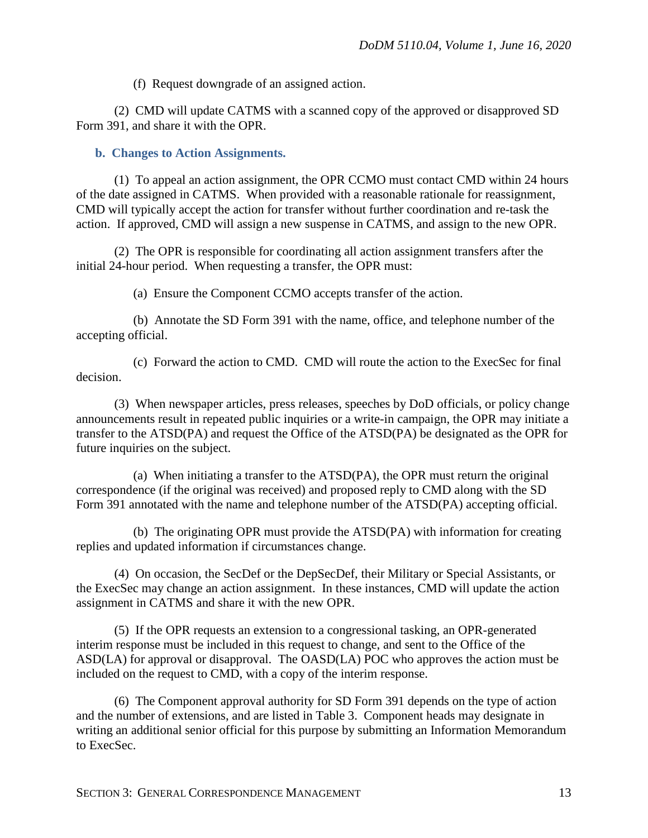(f) Request downgrade of an assigned action.

(2) CMD will update CATMS with a scanned copy of the approved or disapproved SD Form 391, and share it with the OPR.

#### **b. Changes to Action Assignments.**

(1) To appeal an action assignment, the OPR CCMO must contact CMD within 24 hours of the date assigned in CATMS. When provided with a reasonable rationale for reassignment, CMD will typically accept the action for transfer without further coordination and re-task the action. If approved, CMD will assign a new suspense in CATMS, and assign to the new OPR.

(2) The OPR is responsible for coordinating all action assignment transfers after the initial 24-hour period. When requesting a transfer, the OPR must:

(a) Ensure the Component CCMO accepts transfer of the action.

(b) Annotate the SD Form 391 with the name, office, and telephone number of the accepting official.

(c) Forward the action to CMD. CMD will route the action to the ExecSec for final decision.

(3) When newspaper articles, press releases, speeches by DoD officials, or policy change announcements result in repeated public inquiries or a write-in campaign, the OPR may initiate a transfer to the ATSD(PA) and request the Office of the ATSD(PA) be designated as the OPR for future inquiries on the subject.

(a) When initiating a transfer to the ATSD(PA), the OPR must return the original correspondence (if the original was received) and proposed reply to CMD along with the SD Form 391 annotated with the name and telephone number of the ATSD(PA) accepting official.

(b) The originating OPR must provide the ATSD(PA) with information for creating replies and updated information if circumstances change.

(4) On occasion, the SecDef or the DepSecDef, their Military or Special Assistants, or the ExecSec may change an action assignment. In these instances, CMD will update the action assignment in CATMS and share it with the new OPR.

(5) If the OPR requests an extension to a congressional tasking, an OPR-generated interim response must be included in this request to change, and sent to the Office of the ASD(LA) for approval or disapproval. The OASD(LA) POC who approves the action must be included on the request to CMD, with a copy of the interim response.

(6) The Component approval authority for SD Form 391 depends on the type of action and the number of extensions, and are listed in Table 3. Component heads may designate in writing an additional senior official for this purpose by submitting an Information Memorandum to ExecSec.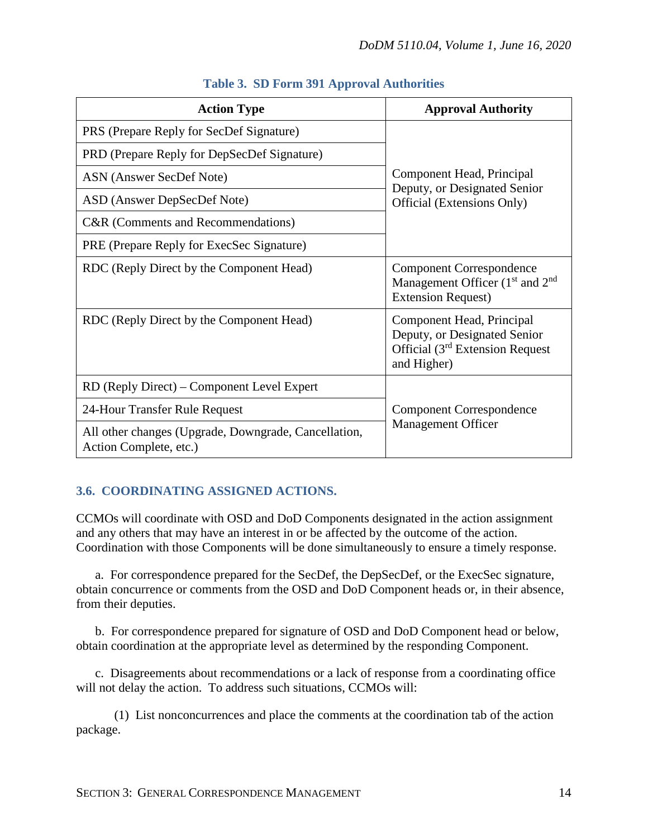| <b>Action Type</b>                                                             | <b>Approval Authority</b>                                                                                     |
|--------------------------------------------------------------------------------|---------------------------------------------------------------------------------------------------------------|
| PRS (Prepare Reply for SecDef Signature)                                       | Component Head, Principal<br>Deputy, or Designated Senior<br>Official (Extensions Only)                       |
| PRD (Prepare Reply for DepSecDef Signature)                                    |                                                                                                               |
| ASN (Answer SecDef Note)                                                       |                                                                                                               |
| ASD (Answer DepSecDef Note)                                                    |                                                                                                               |
| C&R (Comments and Recommendations)                                             |                                                                                                               |
| PRE (Prepare Reply for ExecSec Signature)                                      |                                                                                                               |
| RDC (Reply Direct by the Component Head)                                       | <b>Component Correspondence</b><br>Management Officer $(1st$ and $2nd$<br><b>Extension Request</b> )          |
| RDC (Reply Direct by the Component Head)                                       | Component Head, Principal<br>Deputy, or Designated Senior<br>Official $(3rd$ Extension Request<br>and Higher) |
| RD (Reply Direct) – Component Level Expert                                     | <b>Component Correspondence</b><br><b>Management Officer</b>                                                  |
| 24-Hour Transfer Rule Request                                                  |                                                                                                               |
| All other changes (Upgrade, Downgrade, Cancellation,<br>Action Complete, etc.) |                                                                                                               |

## **Table 3. SD Form 391 Approval Authorities**

## **3.6. COORDINATING ASSIGNED ACTIONS.**

CCMOs will coordinate with OSD and DoD Components designated in the action assignment and any others that may have an interest in or be affected by the outcome of the action. Coordination with those Components will be done simultaneously to ensure a timely response.

a. For correspondence prepared for the SecDef, the DepSecDef, or the ExecSec signature, obtain concurrence or comments from the OSD and DoD Component heads or, in their absence, from their deputies.

b. For correspondence prepared for signature of OSD and DoD Component head or below, obtain coordination at the appropriate level as determined by the responding Component.

c. Disagreements about recommendations or a lack of response from a coordinating office will not delay the action. To address such situations, CCMOs will:

(1) List nonconcurrences and place the comments at the coordination tab of the action package.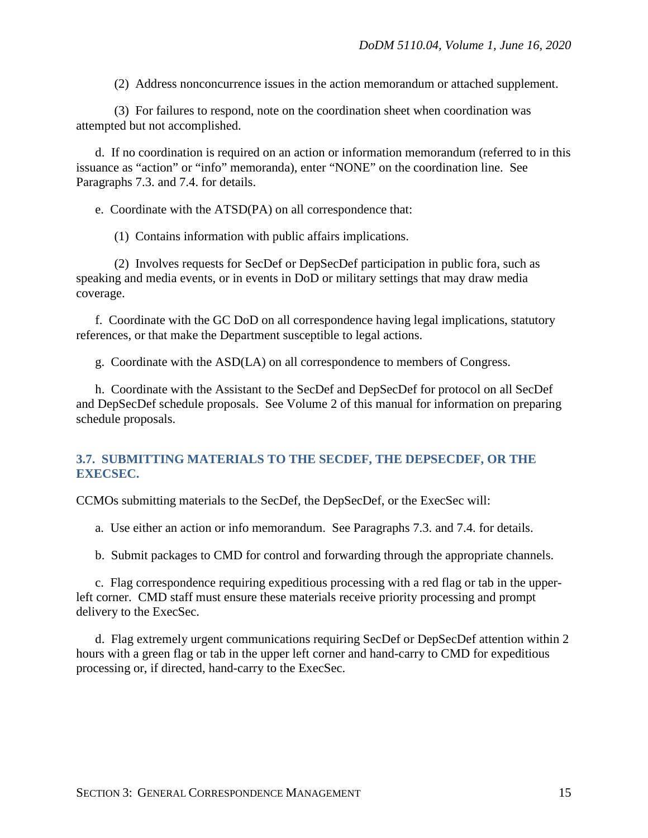(2) Address nonconcurrence issues in the action memorandum or attached supplement.

(3) For failures to respond, note on the coordination sheet when coordination was attempted but not accomplished.

d. If no coordination is required on an action or information memorandum (referred to in this issuance as "action" or "info" memoranda), enter "NONE" on the coordination line. See Paragraphs 7.3. and 7.4. for details.

e. Coordinate with the ATSD(PA) on all correspondence that:

(1) Contains information with public affairs implications.

(2) Involves requests for SecDef or DepSecDef participation in public fora, such as speaking and media events, or in events in DoD or military settings that may draw media coverage.

f. Coordinate with the GC DoD on all correspondence having legal implications, statutory references, or that make the Department susceptible to legal actions.

g. Coordinate with the ASD(LA) on all correspondence to members of Congress.

h. Coordinate with the Assistant to the SecDef and DepSecDef for protocol on all SecDef and DepSecDef schedule proposals. See Volume 2 of this manual for information on preparing schedule proposals.

## **3.7. SUBMITTING MATERIALS TO THE SECDEF, THE DEPSECDEF, OR THE EXECSEC.**

CCMOs submitting materials to the SecDef, the DepSecDef, or the ExecSec will:

a. Use either an action or info memorandum. See Paragraphs 7.3. and 7.4. for details.

b. Submit packages to CMD for control and forwarding through the appropriate channels.

c. Flag correspondence requiring expeditious processing with a red flag or tab in the upperleft corner. CMD staff must ensure these materials receive priority processing and prompt delivery to the ExecSec.

d. Flag extremely urgent communications requiring SecDef or DepSecDef attention within 2 hours with a green flag or tab in the upper left corner and hand-carry to CMD for expeditious processing or, if directed, hand-carry to the ExecSec.